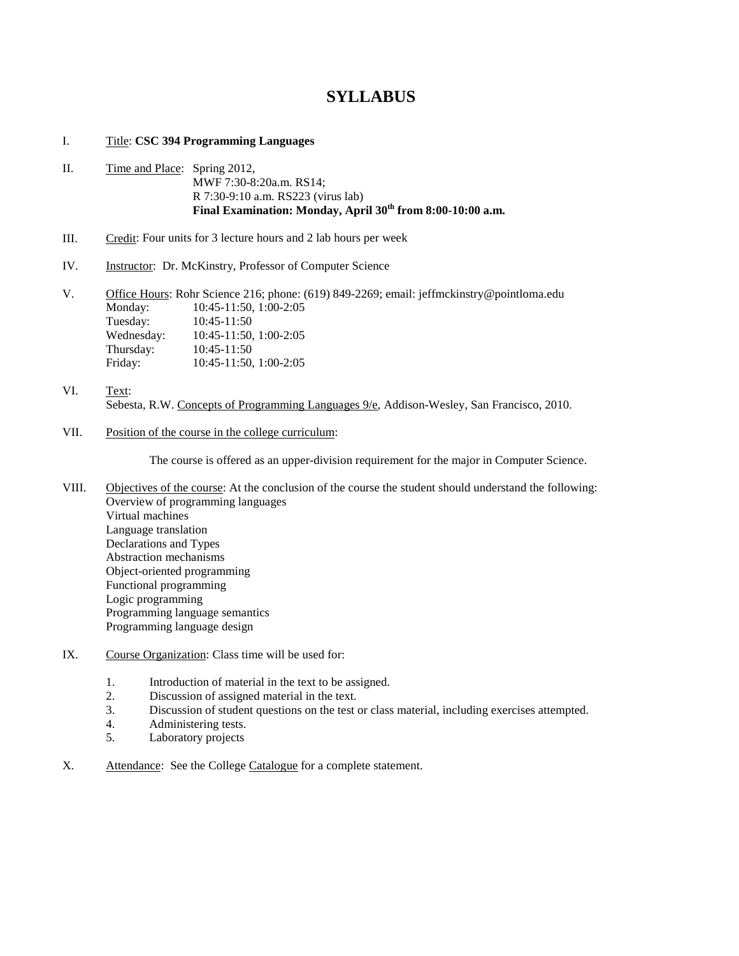## **SYLLABUS**

## I. Title: **CSC 394 Programming Languages**

- II. Time and Place: Spring 2012, MWF 7:30-8:20a.m. RS14; R 7:30-9:10 a.m. RS223 (virus lab) **Final Examination: Monday, April 30th from 8:00-10:00 a.m.**
- III. Credit: Four units for 3 lecture hours and 2 lab hours per week
- IV. Instructor: Dr. McKinstry, Professor of Computer Science

V. Office Hours: Rohr Science 216; phone: (619) 849-2269; email: jeffmckinstry@pointloma.edu Monday: 10:45-11:50, 1:00-2:05<br>Tuesday: 10:45-11:50 Tuesday: 10:45-11:50 Wednesday: 10:45-11:50, 1:00-2:05 Thursday: 10:45-11:50<br>Friday: 10:45-11:50 Friday: 10:45-11:50, 1:00-2:05

- VI. Text: Sebesta, R.W. Concepts of Programming Languages  $9/e$ , Addison-Wesley, San Francisco, 2010.
- VII. Position of the course in the college curriculum:

The course is offered as an upper-division requirement for the major in Computer Science.

- VIII. Objectives of the course: At the conclusion of the course the student should understand the following: Overview of programming languages Virtual machines Language translation Declarations and Types Abstraction mechanisms Object-oriented programming Functional programming Logic programming Programming language semantics Programming language design
- IX. Course Organization: Class time will be used for:
	- 1. Introduction of material in the text to be assigned.<br>2. Discussion of assigned material in the text.
	- Discussion of assigned material in the text.
	- 3. Discussion of student questions on the test or class material, including exercises attempted.
	- 4. Administering tests.<br>5. Laboratory projects
	- Laboratory projects
- X. Attendance: See the College Catalogue for a complete statement.